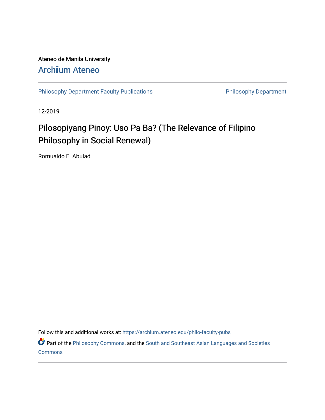# Ateneo de Manila University

## Arch**ī**[um Ateneo](https://archium.ateneo.edu/)

[Philosophy Department Faculty Publications](https://archium.ateneo.edu/philo-faculty-pubs) **Philosophy Department** 

12-2019

## Pilosopiyang Pinoy: Uso Pa Ba? (The Relevance of Filipino Philosophy in Social Renewal)

Romualdo E. Abulad

Follow this and additional works at: [https://archium.ateneo.edu/philo-faculty-pubs](https://archium.ateneo.edu/philo-faculty-pubs?utm_source=archium.ateneo.edu%2Fphilo-faculty-pubs%2F70&utm_medium=PDF&utm_campaign=PDFCoverPages) 

Part of the [Philosophy Commons,](http://network.bepress.com/hgg/discipline/525?utm_source=archium.ateneo.edu%2Fphilo-faculty-pubs%2F70&utm_medium=PDF&utm_campaign=PDFCoverPages) and the South and Southeast Asian Languages and Societies **[Commons](http://network.bepress.com/hgg/discipline/487?utm_source=archium.ateneo.edu%2Fphilo-faculty-pubs%2F70&utm_medium=PDF&utm_campaign=PDFCoverPages)**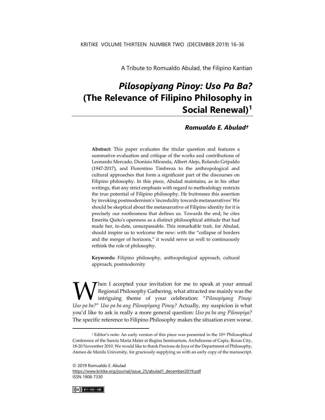A Tribute to Romualdo Abulad, the Filipino Kantian

## *Pilosopiyang Pinoy: Uso Pa Ba?* **(The Relevance of Filipino Philosophy in Social Renewal)<sup>1</sup>**

### *Romualdo E. Abulad†*

**Abstract:** This paper evaluates the titular question and features a summative evaluation and critique of the works and contributions of Leonardo Mercado, Dionisio Miranda, Albert Alejo, Rolando Gripaldo (1947-2017), and Florentino Timbreza to the anthropological and cultural approaches that form a significant part of the discourses on Filipino philosophy. In this piece, Abulad maintains, as in his other writings, that any strict emphasis with regard to methodology restricts the true potential of Filipino philosophy. He buttresses this assertion by invoking postmodernism's 'incredulity towards metanarratives' We should be skeptical about the metanarrative of Filipino identity for it is precisely our rootlessness that defines us. Towards the end, he cites Emerita Quito's openness as a distinct philosophical attitude that had made her, to-date, unsurpassable. This remarkable trait, for Abulad, should inspire us to welcome the new: with the "collapse of borders and the merger of horizons," it would serve us well to continuously rethink the role of philosophy.

**Keywords:** Filipino philosophy, anthropological approach, cultural approach, postmodernity

Then I accepted your invitation for me to speak at your annual Regional Philosophy Gathering, what attracted me mainly was the intriguing theme of your celebration: "*Pilosopiyang Pinoy:*  **V** Regional Philosophy Gathering, what attracted me mainly was the intriguing theme of your celebration: "Pilosopiyang Pinoy: Uso pa ba?" Uso pa ba ang Pilosopiyang Pinoy? Actually, my suspicion is what you'd like to ask is really a more general question: *Uso pa ba ang Pilosopiya?* The specific reference to Filipino Philosophy makes the situation even worse.

[https://www.kritike.org/journal/issue\\_25/abulad1\\_december2019.pdf](https://www.kritike.org/journal/issue_25/abulad1_december2019.pdf) ISSN 1908-7330



<sup>&</sup>lt;sup>1</sup> Editor's note: An early version of this piece was presented in the 10<sup>th</sup> Philosophical Conference of the Sancta Maria Mater et Regina Seminarium, Archdiocese of Capiz, Roxas City, 18-20 November 2010. We would like to thank Preciosa de Joya of the Department of Philosophy, Ateneo de Manila University, for graciously supplying us with an early copy of the manuscript.

<sup>© 2019</sup> Romualdo E. Abulad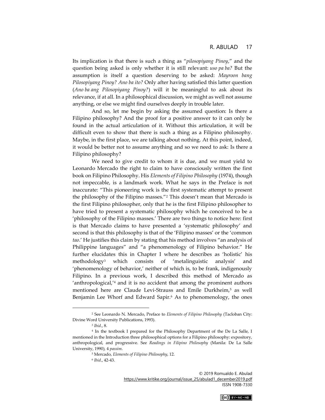Its implication is that there is such a thing as "*pilosopiyang Pinoy*," and the question being asked is only whether it is still relevant: *uso pa ba?* But the assumption is itself a question deserving to be asked: *Mayroon bang Pilosopiyang Pinoy? Ano ba ito?* Only after having satisfied this latter question (*Ano ba ang Pilosopiyang Pinoy?*) will it be meaningful to ask about its relevance, if at all. In a philosophical discussion, we might as well not assume anything, or else we might find ourselves deeply in trouble later.

And so, let me begin by asking the assumed question: Is there a Filipino philosophy? And the proof for a positive answer to it can only be found in the actual articulation of it. Without this articulation, it will be difficult even to show that there is such a thing as a Filipino philosophy. Maybe, in the first place, we are talking about nothing. At this point, indeed, it would be better not to assume anything and so we need to ask: Is there a Filipino philosophy?

We need to give credit to whom it is due, and we must yield to Leonardo Mercado the right to claim to have consciously written the first book on Filipino Philosophy. His *Elements of Filipino Philosophy* (1974), though not impeccable, is a landmark work. What he says in the Preface is not inaccurate: "This pioneering work is the first systematic attempt to present the philosophy of the Filipino masses."<sup>2</sup> This doesn't mean that Mercado is the first Filipino philosopher, only that he is the first Filipino philosopher to have tried to present a systematic philosophy which he conceived to be a 'philosophy of the Filipino masses.' There are two things to notice here: first is that Mercado claims to have presented a 'systematic philosophy' and second is that this philosophy is that of the 'Filipino masses' or the 'common *tao*.' He justifies this claim by stating that his method involves "an analysis of Philippine languages" and "a phenomenology of Filipino behavior." He further elucidates this in Chapter I where he describes as 'holistic' his methodology<sup>3</sup> which consists of 'metalinguistic analysis' and 'phenomenology of behavior,' neither of which is, to be frank, indigenously Filipino. In a previous work, I described this method of Mercado as 'anthropological,'<sup>4</sup> and it is no accident that among the prominent authors mentioned here are Claude Levi-Strauss and Emile Durkheim,<sup>5</sup> as well Benjamin Lee Whorf and Edward Sapir.<sup>6</sup> As to phenomenology, the ones



<sup>2</sup> See Leonardo N. Mercado, Preface to *Elements of Filipino Philosophy* (Tacloban City: Divine Word University Publications, 1993).

<sup>3</sup> *Ibid*., 8.

<sup>4</sup> In the textbook I prepared for the Philosophy Department of the De La Salle, I mentioned in the Introduction three philosophical options for a Filipino philosophy: expository, anthropological, and progressive. See *Readings in Filipino Philosophy* (Manila: De La Salle University, 1990)*,* 4 *passim*.

<sup>5</sup> Mercado, *Elements of Filipino Philosophy*, 12.

<sup>6</sup> *Ibid*., 42-43.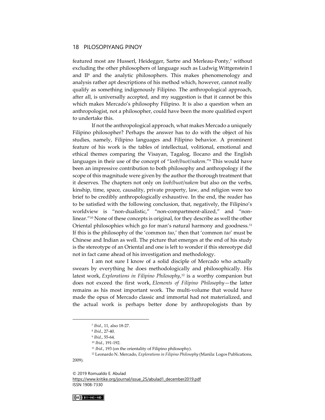featured most are Husserl, Heidegger, Sartre and Merleau-Ponty,<sup>7</sup> without excluding the other philosophers of language such as Ludwig Wittgenstein I and II<sup>8</sup> and the analytic philosophers. This makes phenomenology and analysis rather apt descriptions of his method which, however, cannot really qualify as something indigenously Filipino. The anthropological approach, after all, is universally accepted, and my suggestion is that it cannot be this which makes Mercado's philosophy Filipino. It is also a question when an anthropologist, not a philosopher, could have been the more qualified expert to undertake this.

If not the anthropological approach, what makes Mercado a uniquely Filipino philosopher? Perhaps the answer has to do with the object of his studies, namely, Filipino languages and Filipino behavior. A prominent feature of his work is the tables of intellectual, volitional, emotional and ethical themes comparing the Visayan, Tagalog, Ilocano and the English languages in their use of the concept of "*loob*/*buot*/*nakem*."<sup>9</sup> This would have been an impressive contribution to both philosophy and anthropology if the scope of this magnitude were given by the author the thorough treatment that it deserves. The chapters not only on *loob*/*buot*/*nakem* but also on the verbs, kinship, time, space, causality, private property, law, and religion were too brief to be credibly anthropologically exhaustive. In the end, the reader has to be satisfied with the following conclusion, that, negatively, the Filipino's worldview is "non-dualistic," "non-compartment-alized," and "nonlinear."<sup>10</sup> None of these concepts is original, for they describe as well the other Oriental philosophies which go for man's natural harmony and goodness.<sup>11</sup> If this is the philosophy of the 'common *tao*,' then that 'common *tao*' must be Chinese and Indian as well. The picture that emerges at the end of his study is the stereotype of an Oriental and one is left to wonder if this stereotype did not in fact came ahead of his investigation and methodology.

I am not sure I know of a solid disciple of Mercado who actually swears by everything he does methodologically and philosophically. His latest work, *Explorations in Filipino Philosophy*, <sup>12</sup> is a worthy companion but does not exceed the first work, *Elements of Filipino Philosophy*—the latter remains as his most important work. The multi-volume that would have made the opus of Mercado classic and immortal had not materialized, and the actual work is perhaps better done by anthropologists than by

[https://www.kritike.org/journal/issue\\_25/abulad1\\_december2019.pdf](https://www.kritike.org/journal/issue_25/abulad1_december2019.pdf) ISSN 1908-7330



2009).

<sup>7</sup> *Ibid*., 11, also 18-27.

<sup>8</sup> *Ibid*., 27-40.

<sup>9</sup> *Ibid*., 55-64.

<sup>10</sup> *Ibid*., 191-192.

<sup>11</sup> *Ibid*., 193 (on the orientality of Filipino philosophy).

<sup>12</sup> Leonardo N. Mercado, *Explorations in Filipino Philosophy* (Manila: Logos Publications,

<sup>© 2019</sup> Romualdo E. Abulad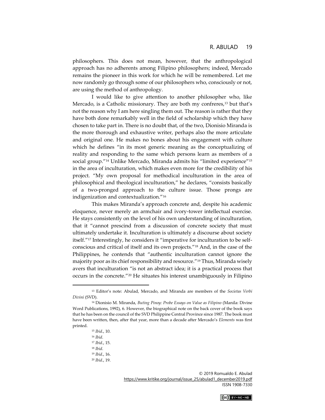philosophers. This does not mean, however, that the anthropological approach has no adherents among Filipino philosophers; indeed, Mercado remains the pioneer in this work for which he will be remembered. Let me now randomly go through some of our philosophers who, consciously or not, are using the method of anthropology.

I would like to give attention to another philosopher who, like Mercado, is a Catholic missionary. They are both my confreres,<sup>13</sup> but that's not the reason why I am here singling them out. The reason is rather that they have both done remarkably well in the field of scholarship which they have chosen to take part in. There is no doubt that, of the two, Dionisio Miranda is the more thorough and exhaustive writer, perhaps also the more articulate and original one. He makes no bones about his engagement with culture which he defines "in its most generic meaning as the conceptualizing of reality and responding to the same which persons learn as members of a social group."<sup>14</sup> Unlike Mercado, Miranda admits his "limited experience"<sup>15</sup> in the area of inculturation, which makes even more for the credibility of his project. "My own proposal for methodical inculturation in the area of philosophical and theological inculturation," he declares, "consists basically of a two-pronged approach to the culture issue. Those prongs are indigenization and contextualization."<sup>16</sup>

This makes Miranda's approach concrete and, despite his academic eloquence, never merely an armchair and ivory-tower intellectual exercise. He stays consistently on the level of his own understanding of inculturation, that it "cannot prescind from a discussion of concrete society that must ultimately undertake it. Inculturation is ultimately a discourse about society itself."<sup>17</sup> Interestingly, he considers it "imperative for inculturation to be selfconscious and critical of itself and its own projects."<sup>18</sup> And, in the case of the Philippines, he contends that "authentic inculturation cannot ignore the majority poor as its chief responsibility and resource."<sup>19</sup> Thus, Miranda wisely avers that inculturation "is not an abstract idea; it is a practical process that occurs in the concrete."<sup>20</sup> He situates his interest unambiguously in Filipino

<sup>15</sup> *Ibid*., 10.



<sup>13</sup> Editor's note: Abulad, Mercado, and Miranda are members of the *Societas Verbi Divini* (SVD).

<sup>14</sup> Dionisio M. Miranda, *Buting Pinoy: Probe Essays on Value as Filipino* (Manila: Divine Word Publications, 1992), 6. However, the biographical note on the back cover of the book says that he has been on the council of the SVD Philippine Central Province since 1987. The book must have been written, then, after that year, more than a decade after Mercado's *Elements* was first printed.

<sup>16</sup> *Ibid*.

<sup>17</sup> *Ibid*., 15.

<sup>18</sup> *Ibid*.

<sup>19</sup> *Ibid*., 16. <sup>20</sup> *Ibid*., 19.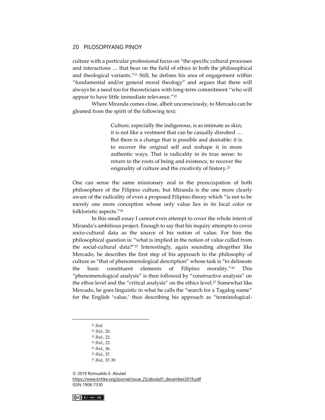culture with a particular professional focus on "the specific cultural processes and interactions … that bear on the field of ethics in both the philosophical and theological variants."<sup>21</sup> Still, he defines his area of engagement within "fundamental and/or general moral theology" and argues that there will always be a need too for theoreticians with long-term commitment "who will appear to have little immediate relevance."<sup>22</sup>

Where Miranda comes close, albeit unconsciously, to Mercado can be gleaned from the spirit of the following text:

> Culture, especially the indigenous, is as intimate as skin; it is not like a vestment that can be casually disrobed … But there is a change that is possible and desirable: it is to recover the original self and reshape it in more authentic ways. That is radicality in its true sense: to return to the roots of being and existence, to recover the originality of culture and the creativity of history.<sup>23</sup>

One can sense the same missionary zeal in the preoccupation of both philosophers of the Filipino culture, but Miranda is the one more clearly aware of the radicality of even a proposed Filipino theory which "is not to be merely one more conception whose only value lies in its local color or folkloristic aspects."<sup>24</sup>

In this small essay I cannot even attempt to cover the whole intent of Miranda's ambitious project. Enough to say that his inquiry attempts to cover socio-cultural data as the source of his notion of value. For him the philosophical question is: "what is implied in the notion of value culled from the social-cultural data?"<sup>25</sup> Interestingly, again sounding altogether like Mercado, he describes the first step of his approach to the philosophy of culture as "that of phenomenological description" whose task is "to delineate the basic constituent elements of Filipino morality."<sup>26</sup> This "phenomenological analysis" is then followed by "constructive analysis" on the ethos level and the "critical analysis" on the ethics level.<sup>27</sup> Somewhat like Mercado, he goes linguistic in what he calls the "search for a Tagalog name" for the English 'value,' thus describing his approach as "terminological-



<sup>21</sup> *Ibid*.

<sup>22</sup> *Ibid*., 20.

<sup>23</sup> *Ibid*., 22.

<sup>24</sup> *Ibid*., 23.

<sup>25</sup> *Ibid*., 36.

<sup>26</sup> *Ibid*., 37.

<sup>27</sup> *Ibid*., 37-39.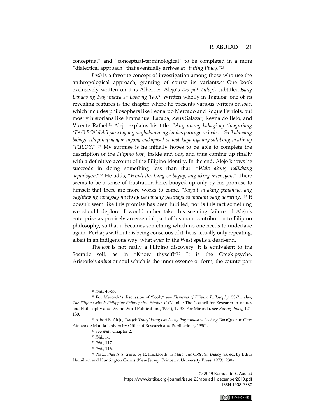conceptual" and "conceptual-terminological" to be completed in a more "dialectical approach" that eventually arrives at "*buting Pinoy*."<sup>28</sup>

*Loob* is a favorite concept of investigation among those who use the anthropological approach, granting of course its variants.<sup>29</sup> One book exclusively written on it is Albert E. Alejo's *Tao pô! Tulóy!*, subtitled *Isang Landas ng Pag-unawa sa Loob ng Tao*. <sup>30</sup> Written wholly in Tagalog, one of its revealing features is the chapter where he presents various writers on *loob*, which includes philosophers like Leonardo Mercado and Roque Ferriols, but mostly historians like Emmanuel Lacaba, Zeus Salazar, Reynaldo Ileto, and Vicente Rafael.<sup>31</sup> Alejo explains his title: "*Ang unang bahagi ay tinaguriang 'TAO PO!' dahil para tayong naghahanap ng landas patungo sa loob … Sa ikalawang bahagi, tila pinapayagan tayong makapasok sa loob kaya nga ang salubong sa atin ay 'TULOY!'*" <sup>32</sup> My surmise is he initially hopes to be able to complete the description of the *Filipino loob*, inside and out, and thus coming up finally with a definitive account of the Filipino identity. In the end, Alejo knows he succeeds in doing something less than that. "*Wala akong nalikhang depinisyon*."<sup>33</sup> He adds, "*Hindi ito, kung sa bagay, ang aking intensyon*." There seems to be a sense of frustration here, buoyed up only by his promise to himself that there are more works to come. "*Kaya't sa aking pananaw, ang paglitaw ng sanaysay na ito ay isa lamang pasinaya sa marami pang darating*."<sup>34</sup> It doesn't seem like this promise has been fulfilled, nor is this fact something we should deplore. I would rather take this seeming failure of Alejo's enterprise as precisely an essential part of his main contribution to Filipino philosophy, so that it becomes something which no one needs to undertake again. Perhaps without his being conscious of it, he is actually only repeating, albeit in an indigenous way, what even in the West spells a dead-end.

The *loob* is not really a Filipino discovery. It is equivalent to the Socratic self, as in "Know thyself!"<sup>35</sup> It is the Greek psyche, Aristotle's *anima* or soul which is the inner essence or form, the counterpart

<sup>© 2019</sup> Romualdo E. Abulad [https://www.kritike.org/journal/issue\\_25/abulad1\\_december2019.pdf](https://www.kritike.org/journal/issue_25/abulad1_december2019.pdf) ISSN 1908-7330



<sup>28</sup> *Ibid*., 48-59.

<sup>29</sup> For Mercado's discussion of "loob," see *Elements of Filipino Philosophy*, 53-71; also, *The Filipino Mind: Philippine Philosophical Studies II* (Manila: The Council for Research in Values and Philosophy and Divine Word Publications, 1994), 19-37. For Miranda, see *Buting Pinoy*, 124- 130.

<sup>30</sup> Albert E. Alejo, *Tao pô! Tuloy! Isang Landas ng Pag-unawa sa Loob ng Tao* (Quezon City: Ateneo de Manila University Office of Research and Publications, 1990).

<sup>31</sup> See *ibid*., Chapter 2.

<sup>32</sup> *Ibid.*, ix.

<sup>33</sup> *Ibid*., 117.

<sup>34</sup> *Ibid*., 116.

<sup>35</sup> Plato, *Phaedrus*, trans. by R. Hackforth, in *Plato: The Collected Dialogues*, ed. by Edith Hamilton and Huntington Cairns (New Jersey: Princeton University Press, 1973), 230a.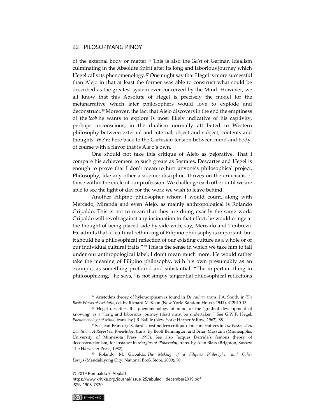of the external body or matter.<sup>36</sup> This is also the *Geist* of German Idealism culminating in the Absolute Spirit after its long and laborious journey which Hegel calls its phenomenology.<sup>37</sup> One might say that Hegel is more successful than Alejo in that at least the former was able to construct what could be described as the greatest system ever conceived by the Mind. However, we all know that this Absolute of Hegel is precisely the model for the metanarrative which later philosophers would love to explode and deconstruct.<sup>38</sup> Moreover, the fact that Alejo discovers in the end the emptiness of the *loob* he wants to explore is most likely indicative of his captivity, perhaps unconscious, in the dualism normally attributed to Western philosophy between external and internal, object and subject, contents and thoughts. We're here back to the Cartesian tension between mind and body, of course with a flavor that is Alejo's own.

One should not take this critique of Alejo as pejorative. That I compare his achievement to such greats as Socrates, Descartes and Hegel is enough to prove that I don't mean to hurt anyone's philosophical project. Philosophy, like any other academic discipline, thrives on the criticisms of those within the circle of our profession. We challenge each other until we are able to see the light of day for the work we wish to leave behind.

Another Filipino philosopher whom I would count, along with Mercado, Miranda and even Alejo, as mainly anthropological is Rolando Gripaldo. This is not to mean that they are doing exactly the same work. Gripaldo will revolt against any insinuation to that effect; he would cringe at the thought of being placed side by side with, say, Mercado and Timbreza. He admits that a "cultural rethinking of Filipino philosophy is important, but it should be a philosophical reflection of our existing culture as a whole or of our individual cultural traits."<sup>39</sup> This is the sense in which we take him to fall under our anthropological label; I don't mean much more. He would rather take the meaning of Filipino philosophy, with his own presumably as an example, as something profound and substantial. "The important thing in philosophizing," he says, "is not simply tangential philosophical reflections

[https://www.kritike.org/journal/issue\\_25/abulad1\\_december2019.pdf](https://www.kritike.org/journal/issue_25/abulad1_december2019.pdf) ISSN 1908-7330



<sup>36</sup> Aristotle's theory of hylemorphism is found in *De Anima*, trans. J.A. Smith, in *The Basic Works of Aristotle*, ed. by Richard McKeon (New York: Random House, 1941), 412b10-13.

<sup>&</sup>lt;sup>37</sup> Hegel describes the phenomenology of mind or the 'gradual development of knowing' as a "long and laborious journey (that) must be undertaken." See G.W.F. Hegel, *Phenomenology of Mind*, trans. by J.B. Baillie (New York: Harper & Row, 1967), 88.

<sup>38</sup> See Jean-Francoiş Lyotard's postmodern critique of metanarratives in *The Postmodern Condition: A Report on Knowledge*, trans. by Beoff Bennington and Brian Massumi (Minneapolis: University of Minnesota Press, 1993). See also Jacques Derrida's famous theory of deconstructionism, for instance in *Margins of Philosophy*, trans. by Alan Blass (Brighton, Sussex: The Harvester Press, 1982).

<sup>39</sup> Rolando M. Gripaldo, *The Making of a Filipino Philosopher and Other Essays* (Mandaluyong City: National Book Store, 2009), 70.

<sup>© 2019</sup> Romualdo E. Abulad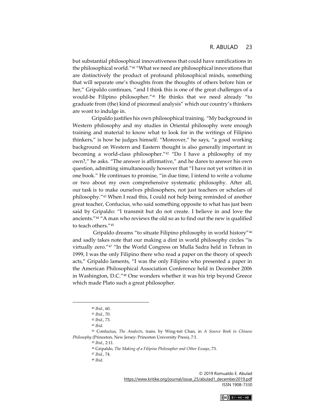but substantial philosophical innovativeness that could have ramifications in the philosophical world."<sup>40</sup> "What we need are philosophical innovations that are distinctively the product of profound philosophical minds, something that will separate one's thoughts from the thoughts of others before him or her," Gripaldo continues, "and I think this is one of the great challenges of a would-be Filipino philosopher."<sup>41</sup> He thinks that we need already "to graduate from (the) kind of piecemeal analysis" which our country's thinkers are wont to indulge in.

Gripaldo justifies his own philosophical training. "My background in Western philosophy and my studies in Oriental philosophy were enough training and material to know what to look for in the writings of Filipino thinkers," is how he judges himself. "Moreover," he says, "a good working background on Western and Eastern thought is also generally important in becoming a world-class philosopher."<sup>42</sup> "Do I have a philosophy of my own?," he asks. "The answer is affirmative," and he dares to answer his own question, admitting simultaneously however that "I have not yet written it in one book." He continues to promise, "in due time, I intend to write a volume or two about my own comprehensive systematic philosophy. After all, our task is to make ourselves philosophers, not just teachers or scholars of philosophy."<sup>43</sup> When I read this, I could not help being reminded of another great teacher, Confucius, who said something opposite to what has just been said by Gripaldo: "I transmit but do not create. I believe in and love the ancients."<sup>44</sup> "A man who reviews the old so as to find out the new is qualified to teach others."<sup>45</sup>

Gripaldo dreams "to situate Filipino philosophy in world history"<sup>46</sup> and sadly takes note that our making a dint in world philosophy circles "is virtually zero."<sup>47</sup> "In the World Congress on Mulla Sadra held in Tehran in 1999, I was the only Filipino there who read a paper on the theory of speech acts," Gripaldo laments, "I was the only Filipino who presented a paper in the American Philosophical Association Conference held in December 2006 in Washington, D.C."<sup>48</sup> One wonders whether it was his trip beyond Greece which made Plato such a great philosopher.



<sup>40</sup> *Ibid.*, 60.

<sup>41</sup> *Ibid.*, 70.

<sup>42</sup> *Ibid*., 73.

<sup>43</sup> *Ibid.*

<sup>44</sup> Confucius, *The Analects*, trans. by Wing-tsit Chan, in *A Source Book in Chinese Philosophy* (Princeton, New Jersey: Princeton University Press), 7:1.

<sup>45</sup> *Ibid*., 2:11.

<sup>46</sup> Gripaldo, *The Making of a Filipino Philosopher and Other Essays*, 73.

<sup>47</sup> *Ibid.*, 74.

<sup>48</sup> *Ibid.*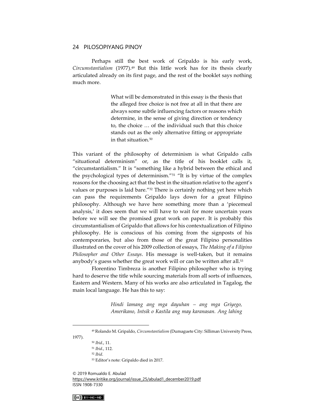Perhaps still the best work of Gripaldo is his early work, *Circumstantialism* (1977).<sup>49</sup> But this little work has for its thesis clearly articulated already on its first page, and the rest of the booklet says nothing much more.

> What will be demonstrated in this essay is the thesis that the alleged free choice is not free at all in that there are always some subtle influencing factors or reasons which determine, in the sense of giving direction or tendency to, the choice … of the individual such that this choice stands out as the only alternative fitting or appropriate in that situation.<sup>50</sup>

This variant of the philosophy of determinism is what Gripaldo calls "situational determinism" or, as the title of his booklet calls it, "circumstantialism." It is "something like a hybrid between the ethical and the psychological types of determinism."<sup>51</sup> "It is by virtue of the complex reasons for the choosing act that the best in the situation relative to the agent's values or purposes is laid bare."<sup>52</sup> There is certainly nothing yet here which can pass the requirements Gripaldo lays down for a great Filipino philosophy. Although we have here something more than a 'piecemeal analysis,' it does seem that we will have to wait for more uncertain years before we will see the promised great work on paper. It is probably this circumstantialism of Gripaldo that allows for his contextualization of Filipino philosophy. He is conscious of his coming from the signposts of his contemporaries, but also from those of the great Filipino personalities illustrated on the cover of his 2009 collection of essays, *The Making of a Filipino Philosopher and Other Essays*. His message is well-taken, but it remains anybody's guess whether the great work will or can be written after all.<sup>53</sup>

Florentino Timbreza is another Filipino philosopher who is trying hard to deserve the title while sourcing materials from all sorts of influences, Eastern and Western. Many of his works are also articulated in Tagalog, the main local language. He has this to say:

> *Hindi lamang ang mga dayuhan – ang mga Griyego, Amerikano, Intsik o Kastila ang may karanasan. Ang lahing*

1977).

© 2019 Romualdo E. Abulad

[https://www.kritike.org/journal/issue\\_25/abulad1\\_december2019.pdf](https://www.kritike.org/journal/issue_25/abulad1_december2019.pdf) ISSN 1908-7330



<sup>49</sup> Rolando M. Gripaldo, *Circumstantialism* (Dumaguete City: Silliman University Press,

<sup>50</sup> *Ibid*., 11.

<sup>51</sup> *Ibid.*, 112.

<sup>52</sup> *Ibid*.

<sup>53</sup> Editor's note: Gripaldo died in 2017.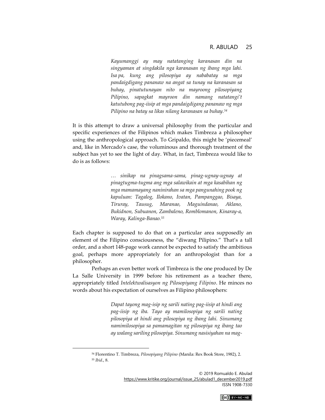*Kayumanggi ay may natatanging karanasan din na singyaman at singdakila nga karanasan ng ibang mga lahi. Isa pa, kung ang pilosopiya ay nababatay sa mga pandaigdigang pananaw na angat sa tunay na karanasan sa buhay, pinatutunayan nito na mayroong pilosopiyang Pilipino, sapagkat mayroon din namang natatangi't katutubong pag-iisip at mga pandaigdigang pananaw ng mga Pilipino na batay sa likas nilang karanasan sa buhay.<sup>54</sup>*

It is this attempt to draw a universal philosophy from the particular and specific experiences of the Filipinos which makes Timbreza a philosopher using the anthropological approach. To Gripaldo, this might be 'piecemeal' and, like in Mercado's case, the voluminous and thorough treatment of the subject has yet to see the light of day. What, in fact, Timbreza would like to do is as follows:

> *… sinikap na pinagsama-sama, pinag-ugnay-ugnay at pinagtugma-tugma ang mga salawikain at mga kasabihan ng mga mamamayang naninirahan sa mga pangunahing pook ng kapuluan: Tagalog, Ilokano, Ivatan, Pampanggao, Bisaya, Tiruray, Tausug, Maranao, Maguindanao, Aklano, Bukidnon, Subuanon, Zambaleno, Romblomanon, Kinaray-a, Waray, Kalinga-Banao.<sup>55</sup>*

Each chapter is supposed to do that on a particular area supposedly an element of the Filipino consciousness, the "diwang Pilipino." That's a tall order, and a short 148-page work cannot be expected to satisfy the ambitious goal, perhaps more appropriately for an anthropologist than for a philosopher.

Perhaps an even better work of Timbreza is the one produced by De La Salle University in 1999 before his retirement as a teacher there, appropriately titled *Intelektwalisasyon ng Pilosopiyang Filipino*. He minces no words about his expectation of ourselves as Filipino philosophers:

> *Dapat tayong mag-isip ng sarili nating pag-iisip at hindi ang pag-iisip ng iba. Tayo ay mamilosopiya ng sarili nating pilosopiya at hindi ang pilosopiya ng ibang lahi. Sinumang namimilosopiya sa pamamagitan ng pilosopiya ng ibang tao ay walang sariling pilosopiya. Sinumang nasisiyahan na mag-*



<sup>54</sup> Florentino T. Timbreza, *Pilosopiyang Pilipino* (Manila: Rex Book Store, 1982), 2. <sup>55</sup> *Ibid*., 8.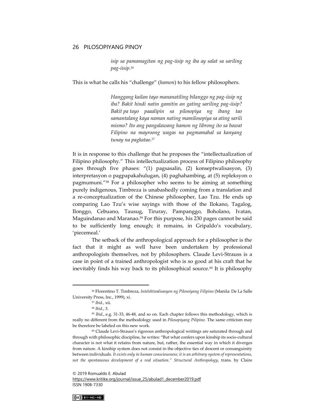*isip sa pamamagitan ng pag-iisip ng iba ay salat sa sariling pag-iisip.<sup>56</sup>*

This is what he calls his "challenge" (*hamon*) to his fellow philosophers.

*Hanggang kailan tayo mananatiling bilanggo ng pag-iisip ng iba? Bakit hindi natin gamitin an gating sariling pag-iisip? Bakit pa tayo paaalipin sa pilosopiya ng ibang tao samantalang kaya naman nating mamilosopiya sa ating sarili mismo? Ito ang pangalawang hamon ng librong ito sa bawat Filipino na mayroong wagas na pagmamahal sa kanyang tunay na pagkatao.<sup>57</sup>*

It is in response to this challenge that he proposes the "intellectualization of Filipino philosophy." This intellectualization process of Filipino philosophy goes through five phases: "(1) pagsasalin, (2) konseptwalisasyon, (3) interpretasyon o pagpapakahulugan, (4) paghahambing, at (5) repleksyon o pagmumuni."<sup>58</sup> For a philosopher who seems to be aiming at something purely indigenous, Timbreza is unabashedly coming from a translation and a re-conceptualization of the Chinese philosopher, Lao Tzu. He ends up comparing Lao Tzu's wise sayings with those of the Ilokano, Tagalog, Ilonggo, Cebuano, Tausug, Tiruray, Pampanggo, Boholano, Ivatan, Maguindanao and Maranao.<sup>59</sup> For this purpose, his 230 pages cannot be said to be sufficiently long enough; it remains, in Gripaldo's vocabulary, 'piecemeal.'

The setback of the anthropological approach for a philosopher is the fact that it might as well have been undertaken by professional anthropologists themselves, not by philosophers. Claude Levi-Strauss is a case in point of a trained anthropologist who is so good at his craft that he inevitably finds his way back to its philosophical source.<sup>60</sup> It is philosophy

[https://www.kritike.org/journal/issue\\_25/abulad1\\_december2019.pdf](https://www.kritike.org/journal/issue_25/abulad1_december2019.pdf) ISSN 1908-7330



<sup>56</sup> Florentino T. Timbreza, *Intelektwalisasyon ng Pilosoiyang Filipino* (Manila: De La Salle University Press, Inc., 1999), xi.

<sup>57</sup> *Ibid.*, xii.

<sup>58</sup> *Ibid*., 3.

<sup>59</sup> *Ibid*., e.g. 31-33, 46-48, and so on. Each chapter follows this methodology, which is really no different from the methodology used in *Pilosopiyang Pilipino.* The same criticism may be therefore be labeled on this new work.

<sup>60</sup> Claude Levi-Strauss's rigorous anthropological writings are saturated through and through with philosophic discipline, he writes: "But what confers upon kinship its socio-cultural character is not what it retains from nature, but, rather, the essential way in which it diverges from nature. A kinship system does not consist in the objective ties of descent or consanguinity between individuals. *It exists only in human consciousness; it is an arbitrary system of representations, not the spontaneous development of a real situation." Structural Anthropology*, trans. by Claire

<sup>© 2019</sup> Romualdo E. Abulad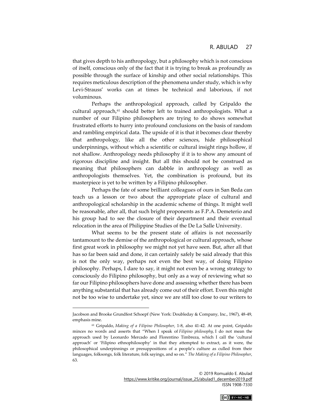that gives depth to his anthropology, but a philosophy which is not conscious of itself, conscious only of the fact that it is trying to break as profoundly as possible through the surface of kinship and other social relationships. This requires meticulous description of the phenomena under study, which is why Levi-Strauss' works can at times be technical and laborious, if not voluminous.

Perhaps the anthropological approach, called by Gripaldo the cultural approach, $61$  should better left to trained anthropologists. What a number of our Filipino philosophers are trying to do shows somewhat frustrated efforts to hurry into profound conclusions on the basis of random and rambling empirical data. The upside of it is that it becomes clear thereby that anthropology, like all the other sciences, hide philosophical underpinnings, without which a scientific or cultural insight rings hollow, if not shallow. Anthropology needs philosophy if it is to show any amount of rigorous discipline and insight. But all this should not be construed as meaning that philosophers can dabble in anthropology as well as anthropologists themselves. Yet, the combination is profound, but its masterpiece is yet to be written by a Filipino philosopher.

Perhaps the fate of some brilliant colleagues of ours in San Beda can teach us a lesson or two about the appropriate place of cultural and anthropological scholarship in the academic scheme of things. It might well be reasonable, after all, that such bright proponents as F.P.A. Demeterio and his group had to see the closure of their department and their eventual relocation in the area of Philippine Studies of the De La Salle University.

What seems to be the present state of affairs is not necessarily tantamount to the demise of the anthropological or cultural approach, whose first great work in philosophy we might not yet have seen. But, after all that has so far been said and done, it can certainly safely be said already that this is not the only way, perhaps not even the best way, of doing Filipino philosophy. Perhaps, I dare to say, it might not even be a wrong strategy to consciously do Filipino philosophy, but only as a way of reviewing what so far our Filipino philosophers have done and assessing whether there has been anything substantial that has already come out of their effort. Even this might not be too wise to undertake yet, since we are still too close to our writers to



Jacobson and Brooke Grundfest Schoepf (New York: Doubleday & Company, Inc., 1967), 48-49, emphasis mine.

<sup>61</sup> Gripaldo, *Making of a Filipino Philosopher*, 1-8, also 41-42. At one point, Gripaldo minces no words and asserts that "When I speak of *Filipino philosophy,* I do not mean the approach used by Leonardo Mercado and Florentino Timbreza, which I call the 'cultural approach' or 'Filipino ethnophilosophy' in that they attempted to extract, as it were, the philosophical underpinnings or presuppositions of a people's culture as culled from their languages, folksongs, folk literature, folk sayings, and so on." *The Making of a Filipino Philosopher*, 63.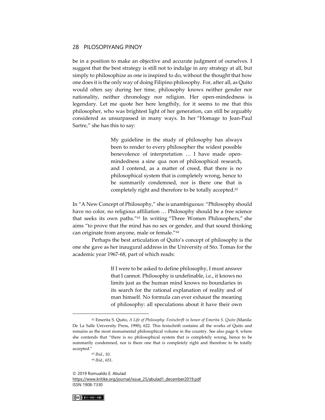be in a position to make an objective and accurate judgment of ourselves. I suggest that the best strategy is still not to indulge in any strategy at all, but simply to philosophize as one is inspired to do, without the thought that how one does it is the only way of doing Filipino philosophy. For, after all, as Quito would often say during her time, philosophy knows neither gender nor nationality, neither chronology nor religion. Her open-mindedness is legendary. Let me quote her here lengthily, for it seems to me that this philosopher, who was brightest light of her generation, can still be arguably considered as unsurpassed in many ways. In her "Homage to Jean-Paul Sartre," she has this to say:

> My guideline in the study of philosophy has always been to render to every philosopher the widest possible benevolence of interpretation … I have made openmindedness a sine qua non of philosophical research, and I contend, as a matter of creed, that there is no philosophical system that is completely wrong, hence to be summarily condemned, nor is there one that is completely right and therefore to be totally accepted.<sup>62</sup>

In "A New Concept of Philosophy," she is unambiguous: "Philosophy should have no color, no religious affiliation … Philosophy should be a free science that seeks its own paths."<sup>63</sup> In writing "Three Women Philosophers," she aims "to prove that the mind has no sex or gender, and that sound thinking can originate from anyone, male or female."<sup>64</sup>

Perhaps the best articulation of Quito's concept of philosophy is the one she gave as her inaugural address in the University of Sto. Tomas for the academic year 1967-68, part of which reads:

> If I were to be asked to define philosophy, I must answer that I cannot. Philosophy is undefinable, i.e., it knows no limits just as the human mind knows no boundaries in its search for the rational explanation of reality and of man himself. No formula can ever exhaust the meaning of philosophy: all speculations about it have their own

<sup>© 2019</sup> Romualdo E. Abulad [https://www.kritike.org/journal/issue\\_25/abulad1\\_december2019.pdf](https://www.kritike.org/journal/issue_25/abulad1_december2019.pdf) ISSN 1908-7330



<sup>62</sup> Emerita S. Quito, *A Life of Philosophy: Festschrift in honor of Emerita S. Quito* (Manila: De La Salle University Press, 1990), 622. This festschrift contains all the works of Quito and remains as the most monumental philosophical volume in the country. See also page 8, where she contends that "there is no philosophical system that is completely wrong, hence to be summarily condemned, nor is there one that is completely right and therefore to be totally accepted."

<sup>63</sup> *Ibid*., 10. <sup>64</sup> *Ibid.*, 651.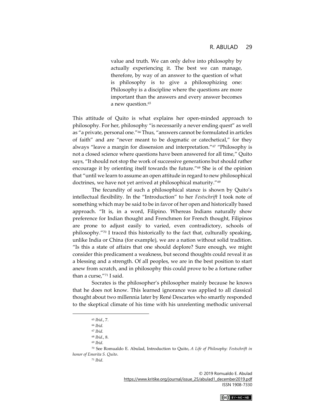value and truth. We can only delve into philosophy by actually experiencing it. The best we can manage, therefore, by way of an answer to the question of what is philosophy is to give a philosophizing one: Philosophy is a discipline where the questions are more important than the answers and every answer becomes a new question.<sup>65</sup>

This attitude of Quito is what explains her open-minded approach to philosophy. For her, philosophy "is necessarily a never ending quest" as well as "a private, personal one."<sup>66</sup> Thus, "answers cannot be formulated in articles of faith" and are "never meant to be dogmatic or catechetical," for they always "leave a margin for dissension and interpretation."<sup>67</sup> "Philosophy is not a closed science where questions have been answered for all time," Quito says, "It should not stop the work of successive generations but should rather encourage it by orienting itself towards the future."<sup>68</sup> She is of the opinion that "until we learn to assume an open attitude in regard to new philosophical doctrines, we have not yet arrived at philosophical maturity."<sup>69</sup>

The fecundity of such a philosophical stance is shown by Quito's intellectual flexibility. In the "Introduction" to her *Festschrift* I took note of something which may be said to be in favor of her open and historically based approach. "It is, in a word, Filipino. Whereas Indians naturally show preference for Indian thought and Frenchmen for French thought, Filipinos are prone to adjust easily to varied, even contradictory, schools of philosophy."<sup>70</sup> I traced this historically to the fact that, culturally speaking, unlike India or China (for example), we are a nation without solid tradition. "Is this a state of affairs that one should deplore? Sure enough, we might consider this predicament a weakness, but second thoughts could reveal it as a blessing and a strength. Of all peoples, we are in the best position to start anew from scratch, and in philosophy this could prove to be a fortune rather than a curse,"<sup>71</sup> I said.

Socrates is the philosopher's philosopher mainly because he knows that he does not know. This learned ignorance was applied to all classical thought about two millennia later by René Descartes who smartly responded to the skeptical climate of his time with his unrelenting methodic universal

<sup>70</sup> See Romualdo E. Abulad, Introduction to Quito, *A Life of Philosophy: Festschrift in honor of Emerita S. Quito*.

<sup>71</sup> *Ibid*.



<sup>65</sup> *Ibid*., 7.

<sup>66</sup> *Ibid.*

<sup>67</sup> *Ibid.*

<sup>68</sup> *Ibid*., 8.

<sup>69</sup> *Ibid*.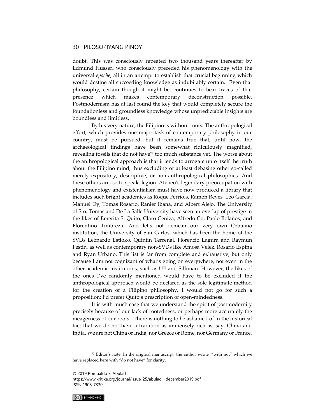doubt. This was consciously repeated two thousand years thereafter by Edmund Husserl who consciously preceded his phenomenology with the universal *epoche*, all in an attempt to establish that crucial beginning which would destine all succeeding knowledge as indubitably certain. Even that philosophy, certain though it might be, continues to bear traces of that presence which makes contemporary deconstruction possible. Postmodernism has at last found the key that would completely secure the foundationless and groundless knowledge whose unpredictable insights are boundless and limitless.

By his very nature, the Filipino is without roots. The anthropological effort, which provides one major task of contemporary philosophy in our country, must be pursued, but it remains true that, until now, the archaeological findings have been somewhat ridiculously magnified, revealing fossils that do not have<sup>72</sup> too much substance yet. The worse about the anthropological approach is that it tends to arrogate unto itself the truth about the Filipino mind, thus excluding or at least debasing other so-called merely expository, descriptive, or non-anthropological philosophies. And these others are, so to speak, legion. Ateneo's legendary preoccupation with phenomenology and existentialism must have now produced a library that includes such bright academics as Roque Ferriols, Ramon Reyes, Leo Garcia, Manuel Dy, Tomas Rosario, Ranier Ibana, and Albert Alejo. The University of Sto. Tomas and De La Salle University have seen an overlap of prestige in the likes of Emerita S. Quito, Claro Ceniza, Alfredo Co, Paolo Bolaños, and Florentino Timbreza. And let's not demean our very own Cebuano institution, the University of San Carlos, which has been the home of the SVDs Leonardo Estioko, Quintin Terrenal, Florencio Lagura and Raymun Festin, as well as contemporary non-SVDs like Amosa Velez, Rosario Espina and Ryan Urbano. This list is far from complete and exhaustive, but only because I am not cognizant of what's going on everywhere, not even in the other academic institutions, such as UP and Silliman. However, the likes of the ones I've randomly mentioned would have to be excluded if the anthropological approach would be declared as the sole legitimate method for the creation of a Filipino philosophy. I would not go for such a proposition; I'd prefer Quito's prescription of open-mindedness.

It is with much ease that we understand the spirit of postmodernity precisely because of our lack of rootedness, or perhaps more accurately the meagerness of our roots. There is nothing to be ashamed of in the historical fact that we do not have a tradition as immensely rich as, say, China and India. We are not China or India, nor Greece or Rome, nor Germany or France,

[https://www.kritike.org/journal/issue\\_25/abulad1\\_december2019.pdf](https://www.kritike.org/journal/issue_25/abulad1_december2019.pdf) ISSN 1908-7330



<sup>72</sup> Editor's note: In the original manuscript, the author wrote, "with not" which we have replaced here with "do not have" for clarity.

<sup>© 2019</sup> Romualdo E. Abulad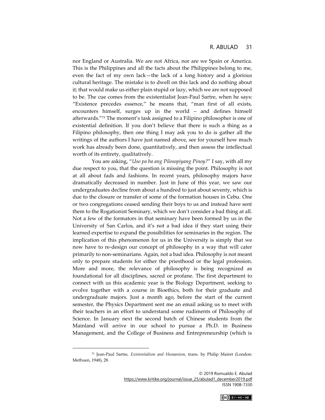nor England or Australia. We are not Africa, nor are we Spain or America. This is the Philippines and all the facts about the Philippines belong to me, even the fact of my own lack—the lack of a long history and a glorious cultural heritage. The mistake is to dwell on this lack and do nothing about it; that would make us either plain stupid or lazy, which we are not supposed to be. The cue comes from the existentialist Jean-Paul Sartre, when he says: "Existence precedes essence," he means that, "man first of all exists, encounters himself, surges up in the world – and defines himself afterwards."<sup>73</sup> The moment's task assigned to a Filipino philosopher is one of existential definition. If you don't believe that there is such a thing as a Filipino philosophy, then one thing I may ask you to do is gather all the writings of the authors I have just named above, see for yourself how much work has already been done, quantitatively, and then assess the intellectual worth of its entirety, qualitatively.

You are asking, "*Uso pa ba ang Pilosopiyang Pinoy?*" I say, with all my due respect to you, that the question is missing the point. Philosophy is not at all about fads and fashions. In recent years, philosophy majors have dramatically decreased in number. Just in June of this year, we saw our undergraduates decline from about a hundred to just about seventy, which is due to the closure or transfer of some of the formation houses in Cebu. One or two congregations ceased sending their boys to us and instead have sent them to the Rogationist Seminary, which we don't consider a bad thing at all. Not a few of the formators in that seminary have been formed by us in the University of San Carlos, and it's not a bad idea if they start using their learned expertise to expand the possibilities for seminaries in the region. The implication of this phenomenon for us in the University is simply that we now have to re-design our concept of philosophy in a way that will cater primarily to non-seminarians. Again, not a bad idea. Philosophy is not meant only to prepare students for either the priesthood or the legal profession. More and more, the relevance of philosophy is being recognized as foundational for all disciplines, sacred or profane. The first department to connect with us this academic year is the Biology Department, seeking to evolve together with a course in Bioethics, both for their graduate and undergraduate majors. Just a month ago, before the start of the current semester, the Physics Department sent me an email asking us to meet with their teachers in an effort to understand some rudiments of Philosophy of Science. In January next the second batch of Chinese students from the Mainland will arrive in our school to pursue a Ph.D. in Business Management, and the College of Business and Entrepreneurship (which is



<sup>73</sup> Jean-Paul Sartre, *Existentialism and Humanism*, trans. by Philip Mairet (London: Methuen, 1948), 28.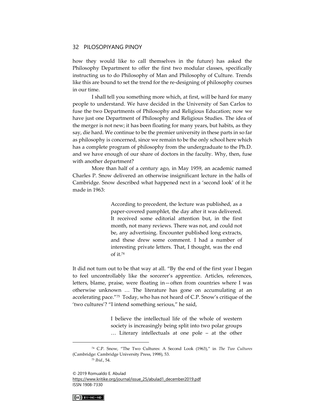how they would like to call themselves in the future) has asked the Philosophy Department to offer the first two modular classes, specifically instructing us to do Philosophy of Man and Philosophy of Culture. Trends like this are bound to set the trend for the re-designing of philosophy courses in our time.

I shall tell you something more which, at first, will be hard for many people to understand. We have decided in the University of San Carlos to fuse the two Departments of Philosophy and Religious Education; now we have just one Department of Philosophy and Religious Studies. The idea of the merger is not new; it has been floating for many years, but habits, as they say, die hard. We continue to be the premier university in these parts in so far as philosophy is concerned, since we remain to be the only school here which has a complete program of philosophy from the undergraduate to the Ph.D. and we have enough of our share of doctors in the faculty. Why, then, fuse with another department?

More than half of a century ago, in May 1959, an academic named Charles P. Snow delivered an otherwise insignificant lecture in the halls of Cambridge. Snow described what happened next in a 'second look' of it he made in 1963:

> According to precedent, the lecture was published, as a paper-covered pamphlet, the day after it was delivered. It received some editorial attention but, in the first month, not many reviews. There was not, and could not be, any advertising. Encounter published long extracts, and these drew some comment. I had a number of interesting private letters. That, I thought, was the end of it.<sup>74</sup>

It did not turn out to be that way at all. "By the end of the first year I began to feel uncontrollably like the sorcerer's apprentice. Articles, references, letters, blame, praise, were floating in—often from countries where I was otherwise unknown … The literature has gone on accumulating at an accelerating pace."<sup>75</sup> Today, who has not heard of C.P. Snow's critique of the 'two cultures'? "I intend something serious," he said,

> I believe the intellectual life of the whole of western society is increasingly being split into two polar groups … Literary intellectuals at one pole – at the other

 $(Cc)$  BY-NC-ND

<sup>74</sup> C.P. Snow, "The Two Cultures: A Second Look (1963)," in *The Two Cultures* (Cambridge: Cambridge University Press, 1998), 53. <sup>75</sup> *Ibid*., 54.

<sup>© 2019</sup> Romualdo E. Abulad [https://www.kritike.org/journal/issue\\_25/abulad1\\_december2019.pdf](https://www.kritike.org/journal/issue_25/abulad1_december2019.pdf) ISSN 1908-7330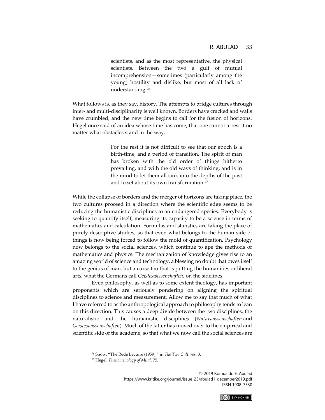scientists, and as the most representative, the physical scientists. Between the two a gulf of mutual incomprehension—sometimes (particularly among the young) hostility and dislike, but most of all lack of understanding.<sup>76</sup>

What follows is, as they say, history. The attempts to bridge cultures through inter- and multi-disciplinarity is well known. Borders have cracked and walls have crumbled, and the new time begins to call for the fusion of horizons. Hegel once said of an idea whose time has come, that one cannot arrest it no matter what obstacles stand in the way.

> For the rest it is not difficult to see that our epoch is a birth-time, and a period of transition. The spirit of man has broken with the old order of things hitherto prevailing, and with the old ways of thinking, and is in the mind to let them all sink into the depths of the past and to set about its own transformation.<sup>77</sup>

While the collapse of borders and the merger of horizons are taking place, the two cultures proceed in a direction where the scientific edge seems to be reducing the humanistic disciplines to an endangered species. Everybody is seeking to quantify itself, measuring its capacity to be a science in terms of mathematics and calculation. Formulas and statistics are taking the place of purely descriptive studies, so that even what belongs to the human side of things is now being forced to follow the mold of quantification. Psychology now belongs to the social sciences, which continue to ape the methods of mathematics and physics. The mechanization of knowledge gives rise to an amazing world of science and technology, a blessing no doubt that owes itself to the genius of man, but a curse too that is putting the humanities or liberal arts, what the Germans call *Geisteswissenchaften*, on the sidelines.

Even philosophy, as well as to some extent theology, has important proponents which are seriously pondering on aligning the spiritual disciplines to science and measurement. Allow me to say that much of what I have referred to as the anthropological approach to philosophy tends to lean on this direction. This causes a deep divide between the two disciplines, the naturalistic and the humanistic disciplines (*Naturwissenschaften* and *Geisteswissenschaften*). Much of the latter has moved over to the empirical and scientific side of the academe, so that what we now call the social sciences are



<sup>76</sup> Snow, "The Rede Lecture (1959)," in *The Two Cultures*, 3.

<sup>77</sup> Hegel, *Phenomenology of Mind*, 75.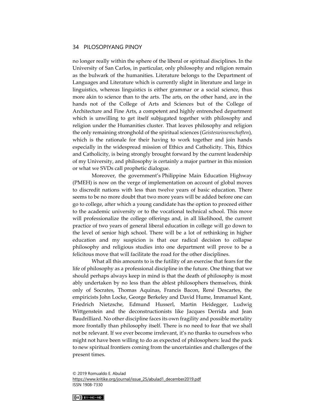no longer really within the sphere of the liberal or spiritual disciplines. In the University of San Carlos, in particular, only philosophy and religion remain as the bulwark of the humanities. Literature belongs to the Department of Languages and Literature which is currently slight in literature and large in linguistics, whereas linguistics is either grammar or a social science, thus more akin to science than to the arts. The arts, on the other hand, are in the hands not of the College of Arts and Sciences but of the College of Architecture and Fine Arts, a competent and highly entrenched department which is unwilling to get itself subjugated together with philosophy and religion under the Humanities cluster. That leaves philosophy and religion the only remaining stronghold of the spiritual sciences (*Geisteswissenschaften*), which is the rationale for their having to work together and join hands especially in the widespread mission of Ethics and Catholicity. This, Ethics and Catholicity, is being strongly brought forward by the current leadership of my University, and philosophy is certainly a major partner in this mission or what we SVDs call prophetic dialogue.

Moreover, the government's Philippine Main Education Highway (PMEH) is now on the verge of implementation on account of global moves to discredit nations with less than twelve years of basic education. There seems to be no more doubt that two more years will be added before one can go to college, after which a young candidate has the option to proceed either to the academic university or to the vocational technical school. This move will professionalize the college offerings and, in all likelihood, the current practice of two years of general liberal education in college will go down to the level of senior high school. There will be a lot of rethinking in higher education and my suspicion is that our radical decision to collapse philosophy and religious studies into one department will prove to be a felicitous move that will facilitate the road for the other disciplines.

What all this amounts to is the futility of an exercise that fears for the life of philosophy as a professional discipline in the future. One thing that we should perhaps always keep in mind is that the death of philosophy is most ably undertaken by no less than the ablest philosophers themselves, think only of Socrates, Thomas Aquinas, Francis Bacon, René Descartes, the empiricists John Locke, George Berkeley and David Hume, Immanuel Kant, Friedrich Nietzsche, Edmund Husserl, Martin Heidegger, Ludwig Wittgenstein and the deconstructionists like Jacques Derrida and Jean Baudrilliard. No other discipline faces its own fragility and possible mortality more frontally than philosophy itself. There is no need to fear that we shall not be relevant. If we ever become irrelevant, it's no thanks to ourselves who might not have been willing to do as expected of philosophers: lead the pack to new spiritual frontiers coming from the uncertainties and challenges of the present times.

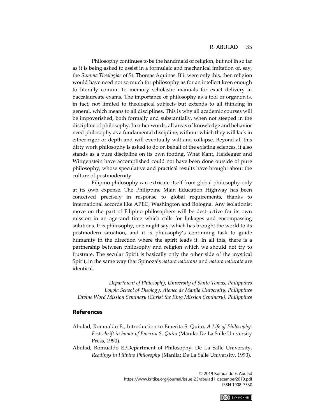Philosophy continues to be the handmaid of religion, but not in so far as it is being asked to assist in a formulaic and mechanical imitation of, say, the *Summa Theologiae* of St. Thomas Aquinas. If it were only this, then religion would have need not so much for philosophy as for an intellect keen enough to literally commit to memory scholastic manuals for exact delivery at baccalaureate exams. The importance of philosophy as a tool or organon is, in fact, not limited to theological subjects but extends to all thinking in general, which means to all disciplines. This is why all academic courses will be impoverished, both formally and substantially, when not steeped in the discipline of philosophy. In other words, all areas of knowledge and behavior need philosophy as a fundamental discipline, without which they will lack in either rigor or depth and will eventually wilt and collapse. Beyond all this dirty work philosophy is asked to do on behalf of the existing sciences, it also stands as a pure discipline on its own footing. What Kant, Heidegger and Wittgenstein have accomplished could not have been done outside of pure philosophy, whose speculative and practical results have brought about the culture of postmodernity.

Filipino philosophy can extricate itself from global philosophy only at its own expense. The Philippine Main Education Highway has been conceived precisely in response to global requirements, thanks to international accords like APEC, Washington and Bologna. Any isolationist move on the part of Filipino philosophers will be destructive for its own mission in an age and time which calls for linkages and encompassing solutions. It is philosophy, one might say, which has brought the world to its postmodern situation, and it is philosophy's continuing task to guide humanity in the direction where the spirit leads it. In all this, there is a partnership between philosophy and religion which we should not try to frustrate. The secular Spirit is basically only the other side of the mystical Spirit, in the same way that Spinoza's *natura naturans* and *natura naturata* are identical.

*Department of Philosophy, University of Santo Tomas, Philippines Loyola School of Theology, Ateneo de Manila University, Philippines Divine Word Mission Seminary (Christ the King Mission Seminary), Philippines*

#### **References**

- Abulad, Romualdo E., Introduction to Emerita S. Quito, *A Life of Philosophy: Festschrift in honor of Emerita S. Quito* (Manila: De La Salle University Press, 1990).
- Abulad, Romualdo E./Department of Philosophy, De La Salle University, *Readings in Filipino Philosophy* (Manila: De La Salle University, 1990).